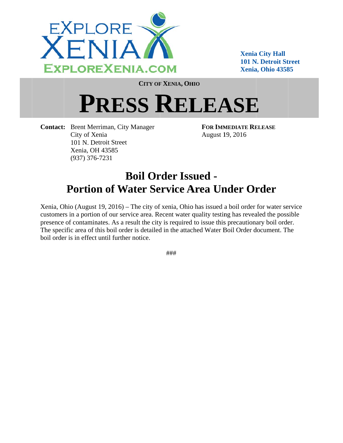

**Xenia City Hall 101 N. Detroit Street** Xenia, Ohio 43585

**CITY OF XENIA, OHIO** 

## **PRESS RELEASE**

**Contact:** Brent Merriman, City Manager City of Xenia 101 N. Detroit Street Xenia, OH 43585  $(937)$  376-7231

**FOR IMMEDIATE RELEASE** August 19, 2016

## **Boil Order Issued -Portion of Water Service Area Under Order**

Xenia, Ohio (August 19, 2016) – The city of xenia, Ohio has issued a boil order for water service customers in a portion of our service area. Recent water quality testing has revealed the possible presence of contaminates. As a result the city is required to issue this precautionary boil order. The specific area of this boil order is detailed in the attached Water Boil Order document. The boil order is in effect until further notice.

###